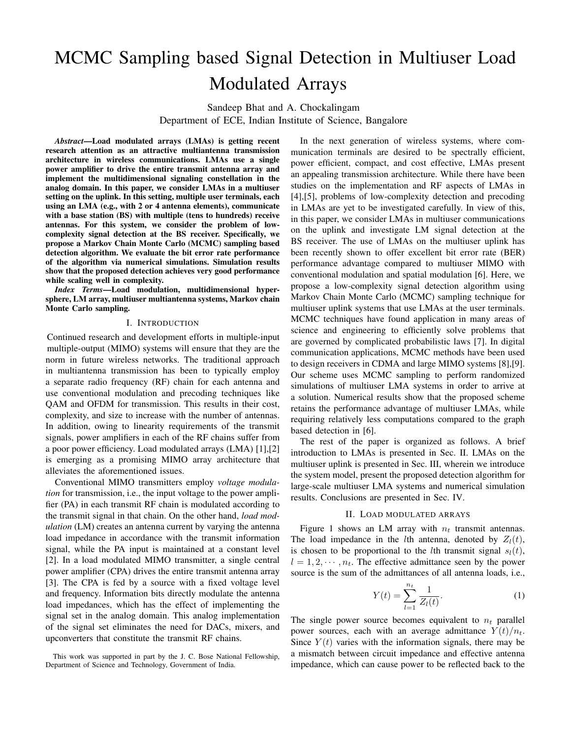# MCMC Sampling based Signal Detection in Multiuser Load Modulated Arrays

Sandeep Bhat and A. Chockalingam

Department of ECE, Indian Institute of Science, Bangalore

*Abstract*—Load modulated arrays (LMAs) is getting recent research attention as an attractive multiantenna transmission architecture in wireless communications. LMAs use a single power amplifier to drive the entire transmit antenna array and implement the multidimensional signaling constellation in the analog domain. In this paper, we consider LMAs in a multiuser setting on the uplink. In this setting, multiple user terminals, each using an LMA (e.g., with 2 or 4 antenna elements), communicate with a base station (BS) with multiple (tens to hundreds) receive antennas. For this system, we consider the problem of lowcomplexity signal detection at the BS receiver. Specifically, we propose a Markov Chain Monte Carlo (MCMC) sampling based detection algorithm. We evaluate the bit error rate performance of the algorithm via numerical simulations. Simulation results show that the proposed detection achieves very good performance while scaling well in complexity.

*Index Terms*—Load modulation, multidimensional hypersphere, LM array, multiuser multiantenna systems, Markov chain Monte Carlo sampling.

#### I. INTRODUCTION

Continued research and development efforts in multiple-input multiple-output (MIMO) systems will ensure that they are the norm in future wireless networks. The traditional approach in multiantenna transmission has been to typically employ a separate radio frequency (RF) chain for each antenna and use conventional modulation and precoding techniques like QAM and OFDM for transmission. This results in their cost, complexity, and size to increase with the number of antennas. In addition, owing to linearity requirements of the transmit signals, power amplifiers in each of the RF chains suffer from a poor power efficiency. Load modulated arrays (LMA) [1],[2] is emerging as a promising MIMO array architecture that alleviates the aforementioned issues.

Conventional MIMO transmitters employ *voltage modulation* for transmission, i.e., the input voltage to the power amplifier (PA) in each transmit RF chain is modulated according to the transmit signal in that chain. On the other hand, *load modulation* (LM) creates an antenna current by varying the antenna load impedance in accordance with the transmit information signal, while the PA input is maintained at a constant level [2]. In a load modulated MIMO transmitter, a single central power amplifier (CPA) drives the entire transmit antenna array [3]. The CPA is fed by a source with a fixed voltage level and frequency. Information bits directly modulate the antenna load impedances, which has the effect of implementing the signal set in the analog domain. This analog implementation of the signal set eliminates the need for DACs, mixers, and upconverters that constitute the transmit RF chains.

In the next generation of wireless systems, where communication terminals are desired to be spectrally efficient, power efficient, compact, and cost effective, LMAs present an appealing transmission architecture. While there have been studies on the implementation and RF aspects of LMAs in [4],[5], problems of low-complexity detection and precoding in LMAs are yet to be investigated carefully. In view of this, in this paper, we consider LMAs in multiuser communications on the uplink and investigate LM signal detection at the BS receiver. The use of LMAs on the multiuser uplink has been recently shown to offer excellent bit error rate (BER) performance advantage compared to multiuser MIMO with conventional modulation and spatial modulation [6]. Here, we propose a low-complexity signal detection algorithm using Markov Chain Monte Carlo (MCMC) sampling technique for multiuser uplink systems that use LMAs at the user terminals. MCMC techniques have found application in many areas of science and engineering to efficiently solve problems that are governed by complicated probabilistic laws [7]. In digital communication applications, MCMC methods have been used to design receivers in CDMA and large MIMO systems [8],[9]. Our scheme uses MCMC sampling to perform randomized simulations of multiuser LMA systems in order to arrive at a solution. Numerical results show that the proposed scheme retains the performance advantage of multiuser LMAs, while requiring relatively less computations compared to the graph based detection in [6].

The rest of the paper is organized as follows. A brief introduction to LMAs is presented in Sec. II. LMAs on the multiuser uplink is presented in Sec. III, wherein we introduce the system model, present the proposed detection algorithm for large-scale multiuser LMA systems and numerical simulation results. Conclusions are presented in Sec. IV.

## II. LOAD MODULATED ARRAYS

Figure 1 shows an LM array with  $n_t$  transmit antennas. The load impedance in the *l*th antenna, denoted by  $Z_l(t)$ , is chosen to be proportional to the *l*th transmit signal  $s_l(t)$ ,  $l = 1, 2, \dots, n_t$ . The effective admittance seen by the power source is the sum of the admittances of all antenna loads, i.e.,

$$
Y(t) = \sum_{l=1}^{n_t} \frac{1}{Z_l(t)}.
$$
 (1)

The single power source becomes equivalent to  $n_t$  parallel power sources, each with an average admittance  $Y(t)/n_t$ . Since  $Y(t)$  varies with the information signals, there may be a mismatch between circuit impedance and effective antenna impedance, which can cause power to be reflected back to the

This work was supported in part by the J. C. Bose National Fellowship, Department of Science and Technology, Government of India.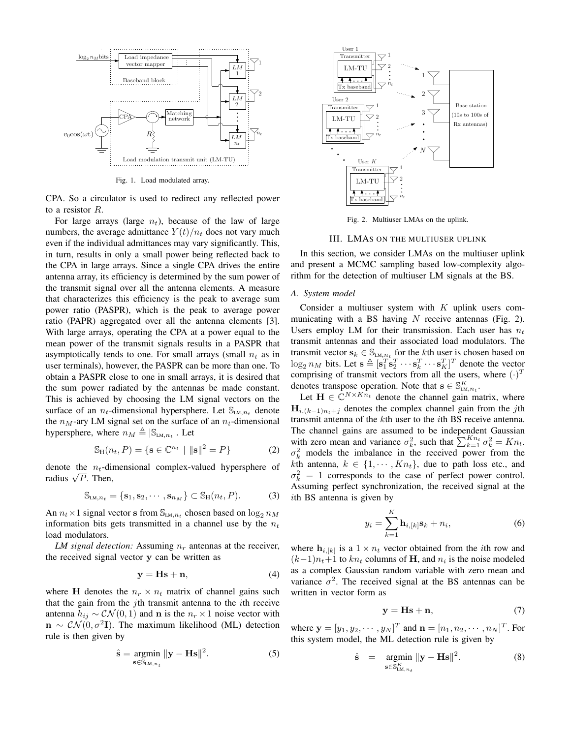

Fig. 1. Load modulated array.

CPA. So a circulator is used to redirect any reflected power to a resistor *R*.

For large arrays (large  $n_t$ ), because of the law of large numbers, the average admittance  $Y(t)/n_t$  does not vary much even if the individual admittances may vary significantly. This, in turn, results in only a small power being reflected back to the CPA in large arrays. Since a single CPA drives the entire antenna array, its efficiency is determined by the sum power of the transmit signal over all the antenna elements. A measure that characterizes this efficiency is the peak to average sum power ratio (PASPR), which is the peak to average power ratio (PAPR) aggregated over all the antenna elements [3]. With large arrays, operating the CPA at a power equal to the mean power of the transmit signals results in a PASPR that asymptotically tends to one. For small arrays (small  $n_t$  as in user terminals), however, the PASPR can be more than one. To obtain a PASPR close to one in small arrays, it is desired that the sum power radiated by the antennas be made constant. This is achieved by choosing the LM signal vectors on the surface of an  $n_t$ -dimensional hypersphere. Let  $\mathbb{S}_{\text{LM},n_t}$  denote the  $n_M$ -ary LM signal set on the surface of an  $n_t$ -dimensional hypersphere, where  $n_M \triangleq |\mathbb{S}_{\text{LM},n_t}|$ . Let

$$
S_H(n_t, P) = \{ \mathbf{s} \in \mathbb{C}^{n_t} \mid ||\mathbf{s}||^2 = P \}
$$
 (2)

denote the *nt*-dimensional complex-valued hypersphere of denote the  $n_t$ -din radius  $\sqrt{P}$ . Then,

$$
\mathbb{S}_{LM,n_t} = \{\mathbf{s}_1, \mathbf{s}_2, \cdots, \mathbf{s}_{n_M}\} \subset \mathbb{S}_{H}(n_t, P). \tag{3}
$$

An  $n_t \times 1$  signal vector **s** from  $\mathbb{S}_{\text{LM},n_t}$  chosen based on  $\log_2 n_M$ information bits gets transmitted in a channel use by the  $n_t$ load modulators.

*LM signal detection:* Assuming *n<sup>r</sup>* antennas at the receiver, the received signal vector **y** can be written as

$$
y = Hs + n,\t\t(4)
$$

where **H** denotes the  $n_r \times n_t$  matrix of channel gains such that the gain from the *j*th transmit antenna to the *i*th receive antenna  $h_{ij} \sim \mathcal{CN}(0, 1)$  and **n** is the  $n_r \times 1$  noise vector with  $\mathbf{n} \sim \mathcal{CN}(0, \sigma^2 \mathbf{I})$ . The maximum likelihood (ML) detection rule is then given by

$$
\hat{\mathbf{s}} = \underset{\mathbf{s} \in \mathbb{S}_{\mathbb{L}\mathbb{M}, n_t}}{\operatorname{argmin}} \|\mathbf{y} - \mathbf{H}\mathbf{s}\|^2. \tag{5}
$$



Fig. 2. Multiuser LMAs on the uplink.

## III. LMAS ON THE MULTIUSER UPLINK

In this section, we consider LMAs on the multiuser uplink and present a MCMC sampling based low-complexity algorithm for the detection of multiuser LM signals at the BS.

### *A. System model*

Consider a multiuser system with *K* uplink users communicating with a BS having *N* receive antennas (Fig. 2). Users employ LM for their transmission. Each user has  $n_t$ transmit antennas and their associated load modulators. The transmit vector  $\mathbf{s}_k \in \mathbb{S}_{\text{LM},n_t}$  for the *k*th user is chosen based on  $\log_2 n_M$  bits. Let  $\mathbf{s} \triangleq [\mathbf{s}_1^T \mathbf{s}_2^T \cdots \mathbf{s}_k^T \cdots \mathbf{s}_K^T]^T$  denote the vector comprising of transmit vectors from all the users, where  $(\cdot)^T$ denotes transpose operation. Note that  $\mathbf{s} \in \mathbb{S}^K_{\text{LM},n_t}$ .

Let  $\mathbf{H} \in \mathbb{C}^{N \times Kn_t}$  denote the channel gain matrix, where  $\mathbf{H}_{i,(k-1)n_t+j}$  denotes the complex channel gain from the *j*th transmit antenna of the *k*th user to the *i*th BS receive antenna. The channel gains are assumed to be independent Gaussian with zero mean and variance  $\sigma_k^2$ , such that  $\sum_{k=1}^{Kn_t} \sigma_k^2 = Kn_t$ .  $\sigma_k^2$  models the imbalance in the received power from the *k*th antenna,  $k \in \{1, \dots, Kn_t\}$ , due to path loss etc., and  $\sigma_k^2 = 1$  corresponds to the case of perfect power control. Assuming perfect synchronization, the received signal at the *i*th BS antenna is given by

$$
y_i = \sum_{k=1}^{K} \mathbf{h}_{i,[k]} \mathbf{s}_k + n_i,
$$
 (6)

where  $\mathbf{h}_{i,[k]}$  is a  $1 \times n_t$  vector obtained from the *i*th row and  $(k-1)n_t+1$  to  $kn_t$  columns of **H**, and  $n_i$  is the noise modeled as a complex Gaussian random variable with zero mean and variance  $\sigma^2$ . The received signal at the BS antennas can be written in vector form as

$$
y = Hs + n,\t(7)
$$

where  $\mathbf{y} = [y_1, y_2, \dots, y_N]^T$  and  $\mathbf{n} = [n_1, n_2, \dots, n_N]^T$ . For this system model, the ML detection rule is given by

$$
\hat{\mathbf{s}} = \underset{\mathbf{s} \in \mathbb{S}_{\text{LM}, n_t}^K}{\text{argmin}} \|\mathbf{y} - \mathbf{H}\mathbf{s}\|^2. \tag{8}
$$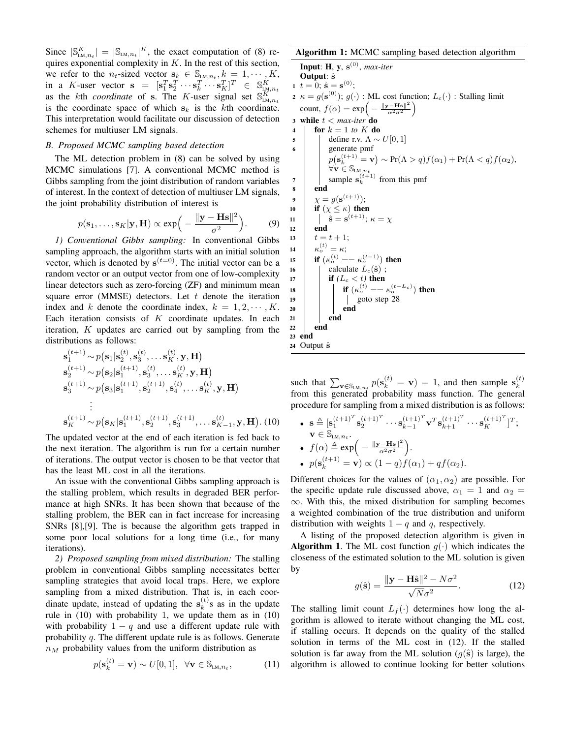Since  $|\mathbb{S}_{\text{LM},n_t}^K| = |\mathbb{S}_{\text{LM},n_t}|^K$ , the exact computation of (8) requires exponential complexity in *K*. In the rest of this section, we refer to the *n*<sub>t</sub>-sized vector  $\mathbf{s}_k \in \mathbb{S}_{\text{LM},n_t}, k = 1, \cdots, K$ , in a *K*-user vector **s** =  $[\mathbf{s}_1^T \mathbf{s}_2^T \cdots \mathbf{s}_k^T \cdots \mathbf{s}_K^T]^T \in \mathbb{S}_{\mathbb{L}^M,n_t}^K$ as the *k*th *coordinate* of **s**. The *K*-user signal set  $\mathcal{S}_{\text{LM},n_t}^K$ is the coordinate space of which  $s_k$  is the *k*th coordinate. This interpretation would facilitate our discussion of detection schemes for multiuser LM signals.

# *B. Proposed MCMC sampling based detection*

The ML detection problem in (8) can be solved by using MCMC simulations [7]. A conventional MCMC method is Gibbs sampling from the joint distribution of random variables of interest. In the context of detection of multiuser LM signals, the joint probability distribution of interest is

$$
p(\mathbf{s}_1,\ldots,\mathbf{s}_K|\mathbf{y},\mathbf{H}) \propto \exp\left(-\frac{\|\mathbf{y}-\mathbf{H}\mathbf{s}\|^2}{\sigma^2}\right).
$$
 (9)

*1) Conventional Gibbs sampling:* In conventional Gibbs sampling approach, the algorithm starts with an initial solution vector, which is denoted by  $s^{(t=0)}$ . The initial vector can be a random vector or an output vector from one of low-complexity linear detectors such as zero-forcing (ZF) and minimum mean square error (MMSE) detectors. Let *t* denote the iteration index and *k* denote the coordinate index,  $k = 1, 2, \cdots, K$ . Each iteration consists of *K* coordinate updates. In each iteration, *K* updates are carried out by sampling from the distributions as follows:

$$
\mathbf{s}_{1}^{(t+1)} \sim p(\mathbf{s}_{1}|\mathbf{s}_{2}^{(t)}, \mathbf{s}_{3}^{(t)}, \dots \mathbf{s}_{K}^{(t)}, \mathbf{y}, \mathbf{H})
$$
\n
$$
\mathbf{s}_{2}^{(t+1)} \sim p(\mathbf{s}_{2}|\mathbf{s}_{1}^{(t+1)}, \mathbf{s}_{3}^{(t)}, \dots \mathbf{s}_{K}^{(t)}, \mathbf{y}, \mathbf{H})
$$
\n
$$
\mathbf{s}_{3}^{(t+1)} \sim p(\mathbf{s}_{3}|\mathbf{s}_{1}^{(t+1)}, \mathbf{s}_{2}^{(t+1)}, \mathbf{s}_{4}^{(t)}, \dots \mathbf{s}_{K}^{(t)}, \mathbf{y}, \mathbf{H})
$$
\n
$$
\vdots
$$
\n
$$
\mathbf{s}_{K}^{(t+1)} \sim p(\mathbf{s}_{K}|\mathbf{s}_{1}^{(t+1)}, \mathbf{s}_{2}^{(t+1)}, \mathbf{s}_{3}^{(t+1)}, \dots \mathbf{s}_{K-1}^{(t)}, \mathbf{y}, \mathbf{H}). (10)
$$

The updated vector at the end of each iteration is fed back to the next iteration. The algorithm is run for a certain number of iterations. The output vector is chosen to be that vector that has the least ML cost in all the iterations.

An issue with the conventional Gibbs sampling approach is the stalling problem, which results in degraded BER performance at high SNRs. It has been shown that because of the stalling problem, the BER can in fact increase for increasing SNRs [8],[9]. The is because the algorithm gets trapped in some poor local solutions for a long time (i.e., for many iterations).

*2) Proposed sampling from mixed distribution:* The stalling problem in conventional Gibbs sampling necessitates better sampling strategies that avoid local traps. Here, we explore sampling from a mixed distribution. That is, in each coordinate update, instead of updating the  $\mathbf{s}_k^{(t)}$  $k^{(i)}$ s as in the update rule in (10) with probability 1, we update them as in (10) with probability  $1 - q$  and use a different update rule with probability *q*. The different update rule is as follows. Generate  $n<sub>M</sub>$  probability values from the uniform distribution as

$$
p(\mathbf{s}_k^{(t)} = \mathbf{v}) \sim U[0, 1], \ \forall \mathbf{v} \in \mathbb{S}_{\text{LM}, n_t}, \tag{11}
$$

# Algorithm 1: MCMC sampling based detection algorithm

Input: H, y, **s** (0) , *max-iter* Output: ˆ**s** 1  $t = 0$ ;  $\hat{\mathbf{s}} = \mathbf{s}^{(0)}$ ; 2  $\kappa = g(\mathbf{s}^{(0)})$ ;  $g(\cdot)$ : ML cost function;  $L_c(\cdot)$ : Stalling limit count,  $f(\alpha) = \exp\left(-\frac{\|\mathbf{y} - \mathbf{Hs}\|^2}{\alpha^2 \sigma^2}\right)$  $\frac{(-\text{Hs}\|^2}{\alpha^2 \sigma^2}\right)$ <sup>3</sup> while *t < max-iter* do 4 | for  $k = 1$  *to*  $K$  do  $\begin{array}{c|c} 5 \\ 6 \end{array}$  define r.v.  $\Lambda \sim U[0, 1]$ <br>cenerate pmf generate pmf  $p(\mathbf{s}_k^{(t+1)} = \mathbf{v}) \sim \Pr(\Lambda > q) f(\alpha_1) + \Pr(\Lambda < q) f(\alpha_2),$ *∀***v** *∈* SLM*,n<sup>t</sup>*  $\tau$  | sample  $\mathbf{s}_k^{(t+1)}$  from this pmf <sup>8</sup> end  $9 \quad \chi = g(\mathbf{s}^{(t+1)});$ 10 if  $(\chi \leq \kappa)$  then<br>
11  $\qquad \qquad | \quad \hat{s} = s^{(t+1)};$ 11 **a**  $\hat{\mathbf{s}} = \mathbf{s}^{(t+1)}; \ \kappa = \chi$ 12 end 13  $t = t + 1$ ; 14  $\kappa_o^{(t)} = \kappa;$ 15 **if**  $(\kappa_o^{(t)} == \kappa_o^{(t-1)})$  then 16  $\vert$  calculate  $L_c(\hat{\mathbf{s}})$ ; 17 if  $(L_c < t)$  then 18 **if**  $(\kappa_o^{(t)} == \kappa_o^{(t-L_c)})$  then  $19$  | | | goto step 28  $20$  | | end  $21$  end <sup>22</sup> end <sup>23</sup> end <sup>24</sup> Output ˆ**s**

such that  $\sum_{\mathbf{v} \in \mathbb{S}_{LM,n_t}} p(\mathbf{s}_k^{(t)} = \mathbf{v}) = 1$ , and then sample  $\mathbf{s}_k^{(t)}$ *k* from this generated probability mass function. The general procedure for sampling from a mixed distribution is as follows:

• 
$$
\mathbf{s} \triangleq [\mathbf{s}_1^{(t+1)^T} \mathbf{s}_2^{(t+1)^T} \cdots \mathbf{s}_{k-1}^{(t+1)^T} \mathbf{v}^T \mathbf{s}_{k+1}^{(t+1)^T} \cdots \mathbf{s}_K^{(t+1)^T}]^T;
$$
  
\n• 
$$
f(\alpha) \triangleq \exp\left(-\frac{\|\mathbf{y}-\mathbf{H}\mathbf{s}\|^2}{\alpha^2 \sigma^2}\right).
$$
  
\n• 
$$
p(\mathbf{s}_k^{(t+1)} = \mathbf{v}) \propto (1-q)f(\alpha_1) + qf(\alpha_2).
$$

Different choices for the values of  $(\alpha_1, \alpha_2)$  are possible. For the specific update rule discussed above,  $\alpha_1 = 1$  and  $\alpha_2 =$ *∞*. With this, the mixed distribution for sampling becomes a weighted combination of the true distribution and uniform distribution with weights  $1 - q$  and  $q$ , respectively.

A listing of the proposed detection algorithm is given in **Algorithm 1.** The ML cost function  $q(\cdot)$  which indicates the closeness of the estimated solution to the ML solution is given by

$$
g(\hat{\mathbf{s}}) = \frac{\|\mathbf{y} - \mathbf{H}\hat{\mathbf{s}}\|^2 - N\sigma^2}{\sqrt{N}\sigma^2}.
$$
 (12)

The stalling limit count  $L_f(\cdot)$  determines how long the algorithm is allowed to iterate without changing the ML cost, if stalling occurs. It depends on the quality of the stalled solution in terms of the ML cost in (12). If the stalled solution is far away from the ML solution  $(q(\hat{s}))$  is large), the algorithm is allowed to continue looking for better solutions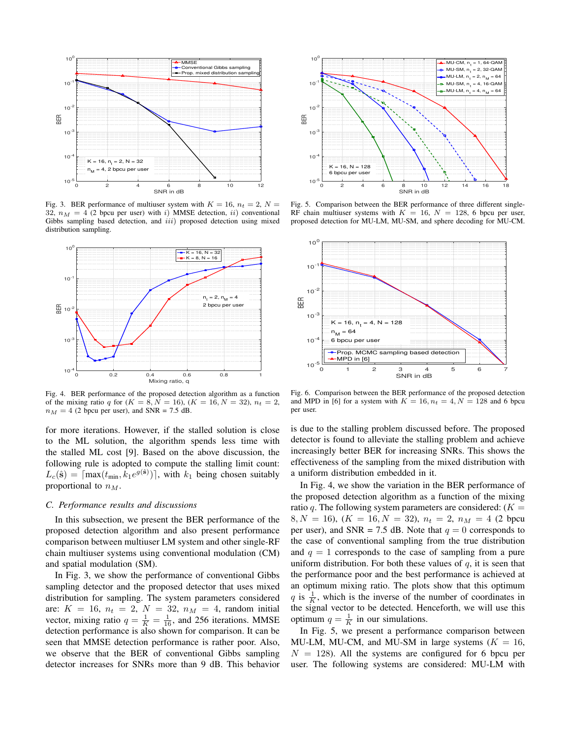

Fig. 3. BER performance of multiuser system with  $K = 16$ ,  $n_t = 2$ ,  $N =$ 32,  $n_M = 4$  (2 bpcu per user) with *i*) MMSE detection, *ii*) conventional Gibbs sampling based detection, and *iii*) proposed detection using mixed distribution sampling.



Fig. 4. BER performance of the proposed detection algorithm as a function of the mixing ratio *q* for  $(K = 8, N = 16)$ ,  $(K = 16, N = 32)$ ,  $n_t = 2$ ,  $n_M = 4$  (2 bpcu per user), and SNR = 7.5 dB.

for more iterations. However, if the stalled solution is close to the ML solution, the algorithm spends less time with the stalled ML cost [9]. Based on the above discussion, the following rule is adopted to compute the stalling limit count:  $L_c(\hat{\mathbf{s}}) = \lceil \max(t_{\text{min}}, k_1 e^{g(\hat{\mathbf{s}})}) \rceil$ , with  $k_1$  being chosen suitably proportional to *nM*.

## *C. Performance results and discussions*

In this subsection, we present the BER performance of the proposed detection algorithm and also present performance comparison between multiuser LM system and other single-RF chain multiuser systems using conventional modulation (CM) and spatial modulation (SM).

In Fig. 3, we show the performance of conventional Gibbs sampling detector and the proposed detector that uses mixed distribution for sampling. The system parameters considered are:  $K = 16$ ,  $n_t = 2$ ,  $N = 32$ ,  $n_M = 4$ , random initial vector, mixing ratio  $q = \frac{1}{K} = \frac{1}{16}$ , and 256 iterations. MMSE detection performance is also shown for comparison. It can be seen that MMSE detection performance is rather poor. Also, we observe that the BER of conventional Gibbs sampling detector increases for SNRs more than 9 dB. This behavior



Fig. 5. Comparison between the BER performance of three different single-RF chain multiuser systems with  $K = 16$ ,  $N = 128$ , 6 bpcu per user, proposed detection for MU-LM, MU-SM, and sphere decoding for MU-CM.



Fig. 6. Comparison between the BER performance of the proposed detection and MPD in [6] for a system with  $K = 16$ ,  $n_t = 4$ ,  $N = 128$  and 6 bpcu per user.

is due to the stalling problem discussed before. The proposed detector is found to alleviate the stalling problem and achieve increasingly better BER for increasing SNRs. This shows the effectiveness of the sampling from the mixed distribution with a uniform distribution embedded in it.

In Fig. 4, we show the variation in the BER performance of the proposed detection algorithm as a function of the mixing ratio *q*. The following system parameters are considered:  $(K =$ 8*, N* = 16*)*,  $(K = 16, N = 32)$ ,  $n_t = 2$ ,  $n_M = 4$  (2 bpcu per user), and SNR = 7.5 dB. Note that  $q = 0$  corresponds to the case of conventional sampling from the true distribution and  $q = 1$  corresponds to the case of sampling from a pure uniform distribution. For both these values of  $q$ , it is seen that the performance poor and the best performance is achieved at an optimum mixing ratio. The plots show that this optimum *q* is  $\frac{1}{K}$ , which is the inverse of the number of coordinates in the signal vector to be detected. Henceforth, we will use this optimum  $q = \frac{1}{K}$  in our simulations.

In Fig. 5, we present a performance comparison between MU-LM, MU-CM, and MU-SM in large systems  $(K = 16,$  $N = 128$ ). All the systems are configured for 6 bpcu per user. The following systems are considered: MU-LM with